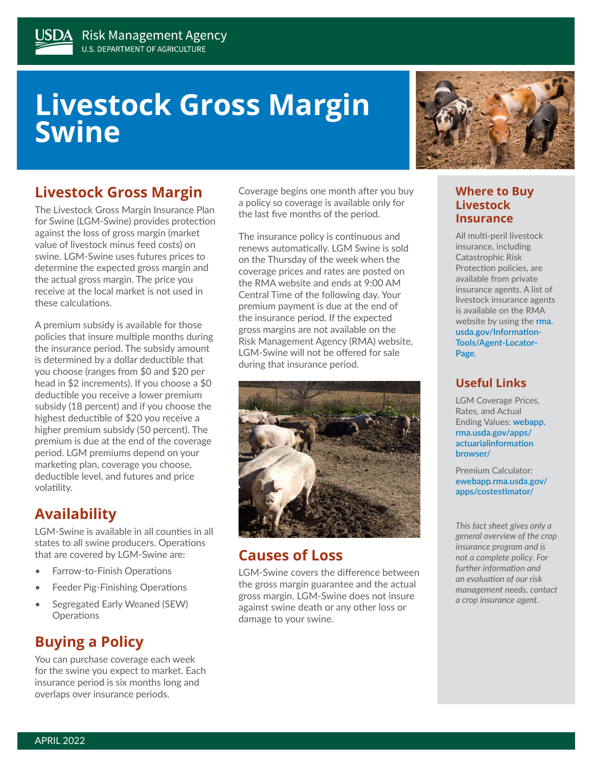# **Livestock Gross Margin Swine**

## **Livestock Gross Margin**

The Livestock Gross Margin Insurance Plan for Swine (LGM-Swine) provides protection against the loss of gross margin (market value of livestock minus feed costs) on swine. LGM-Swine uses futures prices to determine the expected gross margin and the actual gross margin. The price you receive at the local market is not used in these calculations.

A premium subsidy is available for those policies that insure multiple months during the insurance period. The subsidy amount is determined by a dollar deductible that you choose (ranges from \$0 and \$20 per head in \$2 increments). If you choose a \$0 deductible you receive a lower premium subsidy (18 percent) and if you choose the highest deductible of \$20 you receive a higher premium subsidy (50 percent). The premium is due at the end of the coverage period. LGM premiums depend on your marketing plan, coverage you choose, deductible level, and futures and price volatility.

## **Availability**

LGM-Swine is available in all counties in all states to all swine producers. Operations that are covered by LGM-Swine are:

- Farrow-to-Finish Operations
- Feeder Pig-Finishing Operations
- Segregated Early Weaned (SEW) **Operations**

## **Buying a Policy**

You can purchase coverage each week for the swine you expect to market. Each insurance period is six months long and overlaps over insurance periods.

Coverage begins one month after you buy a policy so coverage is available only for the last five months of the period.

The insurance policy is continuous and renews automatically. LGM Swine is sold on the Thursday of the week when the coverage prices and rates are posted on the RMA website and ends at 9:00 AM Central Time of the following day. Your premium payment is due at the end of the insurance period. If the expected gross margins are not available on the Risk Management Agency (RMA) website, LGM‑Swine will not be offered for sale during that insurance period.



## **Causes of Loss**

LGM-Swine covers the difference between the gross margin guarantee and the actual gross margin. LGM-Swine does not insure against swine death or any other loss or damage to your swine.



#### **Where to Buy Livestock Insurance**

All multi-peril livestock insurance, including Catastrophic Risk Protection policies, are available from private insurance agents. A list of livestock insurance agents is available on the RMA website by using the **[rma.](http://rma.usda.gov/Information-Tools/Agent-Locator-Page) [usda.gov/Information-](http://rma.usda.gov/Information-Tools/Agent-Locator-Page)[Tools/Agent-Locator-](http://rma.usda.gov/Information-Tools/Agent-Locator-Page)[Page.](http://rma.usda.gov/Information-Tools/Agent-Locator-Page)**

### **Useful Links**

LGM Coverage Prices, Rates, and Actual Ending Values: **[webapp.](http://webapp.rma.usda.gov/apps/actuarialinformation browser/) [rma.usda.gov/apps/](http://webapp.rma.usda.gov/apps/actuarialinformation browser/) [actuarialinformation](http://webapp.rma.usda.gov/apps/actuarialinformation browser/)  [browser/](http://webapp.rma.usda.gov/apps/actuarialinformation browser/)**

Premium Calculator: **[ewebapp.rma.usda.gov/](https://ewebapp.rma.usda.gov/apps/costestimator/) [apps/costestimator/](https://ewebapp.rma.usda.gov/apps/costestimator/)**

*This fact sheet gives only a general overview of the crop insurance program and is not a complete policy. For further information and an evaluation of our risk management needs, contact a crop insurance agent.*